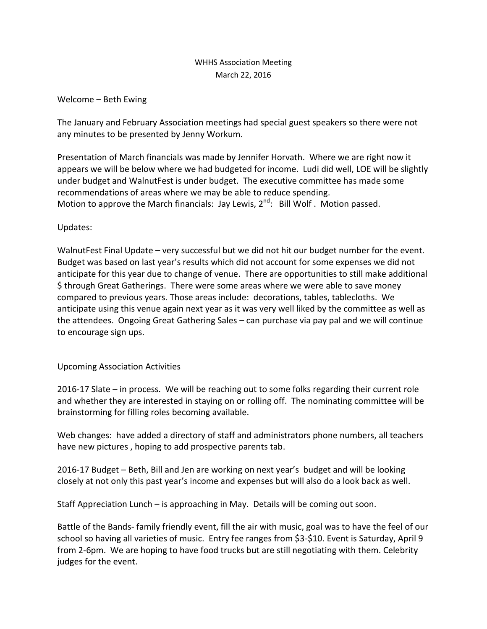## WHHS Association Meeting March 22, 2016

## Welcome – Beth Ewing

The January and February Association meetings had special guest speakers so there were not any minutes to be presented by Jenny Workum.

Presentation of March financials was made by Jennifer Horvath. Where we are right now it appears we will be below where we had budgeted for income. Ludi did well, LOE will be slightly under budget and WalnutFest is under budget. The executive committee has made some recommendations of areas where we may be able to reduce spending. Motion to approve the March financials: Jay Lewis,  $2^{nd}$ : Bill Wolf. Motion passed.

Updates:

WalnutFest Final Update – very successful but we did not hit our budget number for the event. Budget was based on last year's results which did not account for some expenses we did not anticipate for this year due to change of venue. There are opportunities to still make additional \$ through Great Gatherings. There were some areas where we were able to save money compared to previous years. Those areas include: decorations, tables, tablecloths. We anticipate using this venue again next year as it was very well liked by the committee as well as the attendees. Ongoing Great Gathering Sales – can purchase via pay pal and we will continue to encourage sign ups.

## Upcoming Association Activities

2016-17 Slate – in process. We will be reaching out to some folks regarding their current role and whether they are interested in staying on or rolling off. The nominating committee will be brainstorming for filling roles becoming available.

Web changes: have added a directory of staff and administrators phone numbers, all teachers have new pictures , hoping to add prospective parents tab.

2016-17 Budget – Beth, Bill and Jen are working on next year's budget and will be looking closely at not only this past year's income and expenses but will also do a look back as well.

Staff Appreciation Lunch – is approaching in May. Details will be coming out soon.

Battle of the Bands- family friendly event, fill the air with music, goal was to have the feel of our school so having all varieties of music. Entry fee ranges from \$3-\$10. Event is Saturday, April 9 from 2-6pm. We are hoping to have food trucks but are still negotiating with them. Celebrity judges for the event.